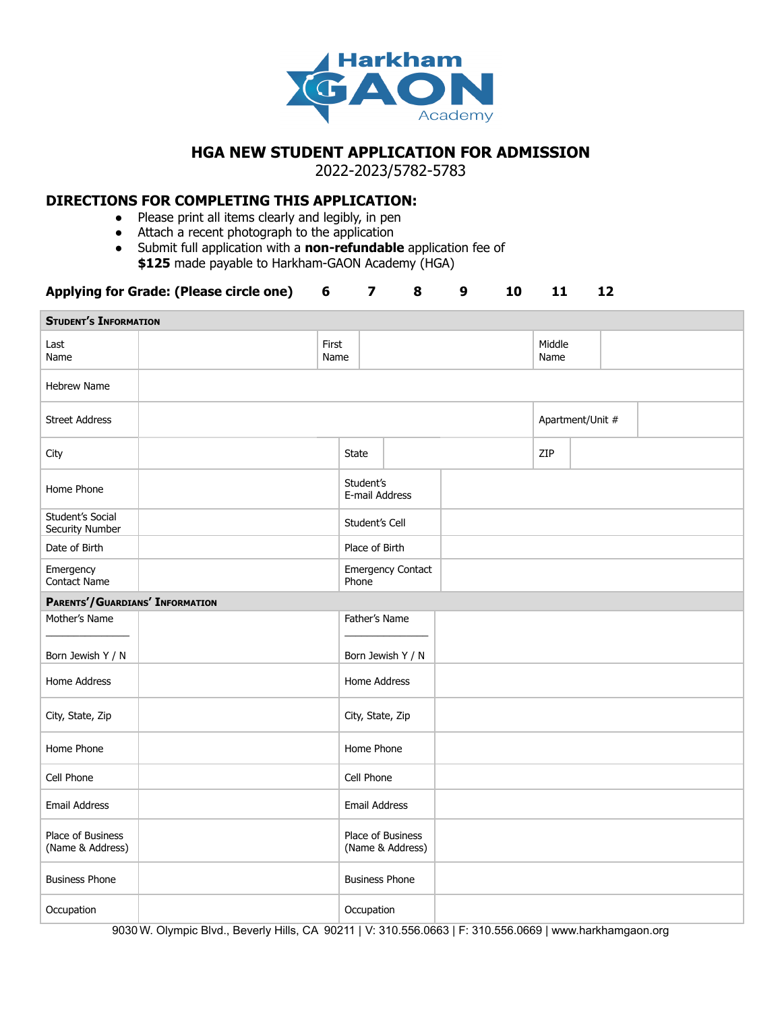

## **HGA NEW STUDENT APPLICATION FOR ADMISSION**

2022-2023/5782-5783

## **DIRECTIONS FOR COMPLETING THIS APPLICATION:**

- Please print all items clearly and legibly, in pen
- Attach a recent photograph to the application
- Submit full application with a **non-refundable** application fee of **\$125** made payable to Harkham-GAON Academy (HGA)

## **Applying for Grade: (Please circle one) 6 7 8 9 10 11 12**

| <b>STUDENT'S INFORMATION</b>          |  |               |                                   |                  |  |                |                  |  |  |  |  |
|---------------------------------------|--|---------------|-----------------------------------|------------------|--|----------------|------------------|--|--|--|--|
| Last<br>Name                          |  | First<br>Name |                                   |                  |  | Middle<br>Name |                  |  |  |  |  |
| <b>Hebrew Name</b>                    |  |               |                                   |                  |  |                |                  |  |  |  |  |
| <b>Street Address</b>                 |  |               |                                   |                  |  |                | Apartment/Unit # |  |  |  |  |
| City                                  |  |               | State                             |                  |  | ZIP            |                  |  |  |  |  |
| Home Phone                            |  |               | Student's<br>E-mail Address       |                  |  |                |                  |  |  |  |  |
| Student's Social<br>Security Number   |  |               | Student's Cell                    |                  |  |                |                  |  |  |  |  |
| Date of Birth                         |  |               | Place of Birth                    |                  |  |                |                  |  |  |  |  |
| Emergency<br><b>Contact Name</b>      |  |               | <b>Emergency Contact</b><br>Phone |                  |  |                |                  |  |  |  |  |
| PARENTS'/GUARDIANS' INFORMATION       |  |               |                                   |                  |  |                |                  |  |  |  |  |
| Mother's Name                         |  |               | Father's Name                     |                  |  |                |                  |  |  |  |  |
| Born Jewish Y / N                     |  |               | Born Jewish Y / N                 |                  |  |                |                  |  |  |  |  |
| Home Address                          |  |               | Home Address                      |                  |  |                |                  |  |  |  |  |
| City, State, Zip                      |  |               | City, State, Zip                  |                  |  |                |                  |  |  |  |  |
| Home Phone                            |  |               | Home Phone                        |                  |  |                |                  |  |  |  |  |
| Cell Phone                            |  |               | Cell Phone                        |                  |  |                |                  |  |  |  |  |
| Email Address                         |  |               | Email Address                     |                  |  |                |                  |  |  |  |  |
| Place of Business<br>(Name & Address) |  |               | Place of Business                 | (Name & Address) |  |                |                  |  |  |  |  |
| <b>Business Phone</b>                 |  |               | <b>Business Phone</b>             |                  |  |                |                  |  |  |  |  |
| Occupation                            |  |               | Occupation                        |                  |  |                |                  |  |  |  |  |

9030 W. Olympic Blvd., Beverly Hills, CA 90211 | V: 310.556.0663 | F: 310.556.0669 | www.harkhamgaon.org